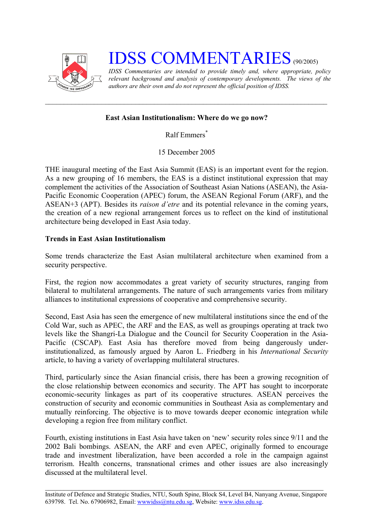

## **IDSS COMMENTARIES** (90/2005)

*IDSS Commentaries are intended to provide timely and, where appropriate, policy relevant background and analysis of contemporary developments. The views of the authors are their own and do not represent the official position of IDSS.* 

## **East Asian Institutionalism: Where do we go now?**

Ralf Emmers [\\*](#page-2-0)

15 December 2005

THE inaugural meeting of the East Asia Summit (EAS) is an important event for the region. As a new grouping of 16 members, the EAS is a distinct institutional expression that may complement the activities of the Association of Southeast Asian Nations (ASEAN), the Asia-Pacific Economic Cooperation (APEC) forum, the ASEAN Regional Forum (ARF), and the ASEAN+3 (APT). Besides its *raison d'etre* and its potential relevance in the coming years, the creation of a new regional arrangement forces us to reflect on the kind of institutional architecture being developed in East Asia today.

## **Trends in East Asian Institutionalism**

Some trends characterize the East Asian multilateral architecture when examined from a security perspective.

First, the region now accommodates a great variety of security structures, ranging from bilateral to multilateral arrangements. The nature of such arrangements varies from military alliances to institutional expressions of cooperative and comprehensive security.

Second, East Asia has seen the emergence of new multilateral institutions since the end of the Cold War, such as APEC, the ARF and the EAS, as well as groupings operating at track two levels like the Shangri-La Dialogue and the Council for Security Cooperation in the Asia-Pacific (CSCAP). East Asia has therefore moved from being dangerously underinstitutionalized, as famously argued by Aaron L. Friedberg in his *International Security* article, to having a variety of overlapping multilateral structures.

Third, particularly since the Asian financial crisis, there has been a growing recognition of the close relationship between economics and security. The APT has sought to incorporate economic-security linkages as part of its cooperative structures. ASEAN perceives the construction of security and economic communities in Southeast Asia as complementary and mutually reinforcing. The objective is to move towards deeper economic integration while developing a region free from military conflict.

Fourth, existing institutions in East Asia have taken on 'new' security roles since 9/11 and the 2002 Bali bombings. ASEAN, the ARF and even APEC, originally formed to encourage trade and investment liberalization, have been accorded a role in the campaign against terrorism. Health concerns, transnational crimes and other issues are also increasingly discussed at the multilateral level.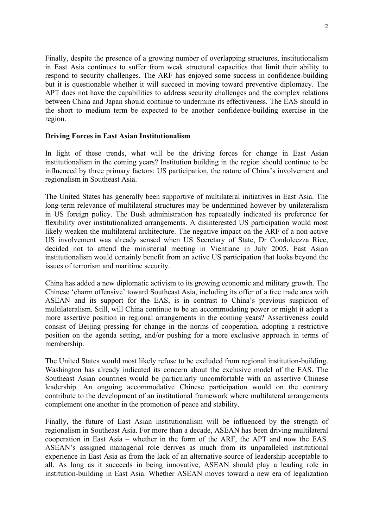Finally, despite the presence of a growing number of overlapping structures, institutionalism in East Asia continues to suffer from weak structural capacities that limit their ability to respond to security challenges. The ARF has enjoyed some success in confidence-building but it is questionable whether it will succeed in moving toward preventive diplomacy. The APT does not have the capabilities to address security challenges and the complex relations between China and Japan should continue to undermine its effectiveness. The EAS should in the short to medium term be expected to be another confidence-building exercise in the region.

## **Driving Forces in East Asian Institutionalism**

In light of these trends, what will be the driving forces for change in East Asian institutionalism in the coming years? Institution building in the region should continue to be influenced by three primary factors: US participation, the nature of China's involvement and regionalism in Southeast Asia.

The United States has generally been supportive of multilateral initiatives in East Asia. The long-term relevance of multilateral structures may be undermined however by unilateralism in US foreign policy. The Bush administration has repeatedly indicated its preference for flexibility over institutionalized arrangements. A disinterested US participation would most likely weaken the multilateral architecture. The negative impact on the ARF of a non-active US involvement was already sensed when US Secretary of State, Dr Condoleezza Rice, decided not to attend the ministerial meeting in Vientiane in July 2005. East Asian institutionalism would certainly benefit from an active US participation that looks beyond the issues of terrorism and maritime security.

China has added a new diplomatic activism to its growing economic and military growth. The Chinese 'charm offensive' toward Southeast Asia, including its offer of a free trade area with ASEAN and its support for the EAS, is in contrast to China's previous suspicion of multilateralism. Still, will China continue to be an accommodating power or might it adopt a more assertive position in regional arrangements in the coming years? Assertiveness could consist of Beijing pressing for change in the norms of cooperation, adopting a restrictive position on the agenda setting, and/or pushing for a more exclusive approach in terms of membership.

The United States would most likely refuse to be excluded from regional institution-building. Washington has already indicated its concern about the exclusive model of the EAS. The Southeast Asian countries would be particularly uncomfortable with an assertive Chinese leadership. An ongoing accommodative Chinese participation would on the contrary contribute to the development of an institutional framework where multilateral arrangements complement one another in the promotion of peace and stability.

Finally, the future of East Asian institutionalism will be influenced by the strength of regionalism in Southeast Asia. For more than a decade, ASEAN has been driving multilateral cooperation in East Asia – whether in the form of the ARF, the APT and now the EAS. ASEAN's assigned managerial role derives as much from its unparalleled institutional experience in East Asia as from the lack of an alternative source of leadership acceptable to all. As long as it succeeds in being innovative, ASEAN should play a leading role in institution-building in East Asia. Whether ASEAN moves toward a new era of legalization